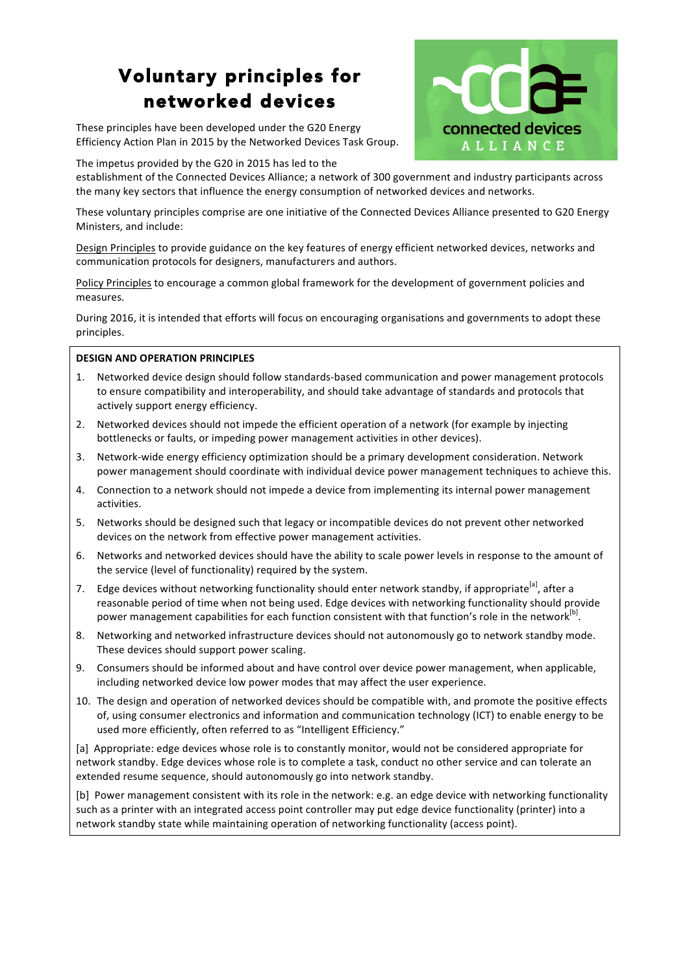# Voluntary principles for networked devices

These principles have been developed under the G20 Energy Efficiency Action Plan in 2015 by the Networked Devices Task Group.



The impetus provided by the G20 in 2015 has led to the

establishment of the Connected Devices Alliance; a network of 300 government and industry participants across the many key sectors that influence the energy consumption of networked devices and networks.

These voluntary principles comprise are one initiative of the Connected Devices Alliance presented to G20 Energy Ministers, and include:

Design Principles to provide guidance on the key features of energy efficient networked devices, networks and communication protocols for designers, manufacturers and authors.

Policy Principles to encourage a common global framework for the development of government policies and measures. 

During 2016, it is intended that efforts will focus on encouraging organisations and governments to adopt these principles.

#### **DESIGN AND OPERATION PRINCIPLES**

- 1. Networked device design should follow standards-based communication and power management protocols to ensure compatibility and interoperability, and should take advantage of standards and protocols that actively support energy efficiency.
- 2. Networked devices should not impede the efficient operation of a network (for example by injecting bottlenecks or faults, or impeding power management activities in other devices).
- 3. Network-wide energy efficiency optimization should be a primary development consideration. Network power management should coordinate with individual device power management techniques to achieve this.
- 4. Connection to a network should not impede a device from implementing its internal power management activities.
- 5. Networks should be designed such that legacy or incompatible devices do not prevent other networked devices on the network from effective power management activities.
- 6. Networks and networked devices should have the ability to scale power levels in response to the amount of the service (level of functionality) required by the system.
- 7. Edge devices without networking functionality should enter network standby, if appropriate<sup>[a]</sup>, after a reasonable period of time when not being used. Edge devices with networking functionality should provide power management capabilities for each function consistent with that function's role in the network<sup>[b]</sup>.
- 8. Networking and networked infrastructure devices should not autonomously go to network standby mode. These devices should support power scaling.
- 9. Consumers should be informed about and have control over device power management, when applicable, including networked device low power modes that may affect the user experience.
- 10. The design and operation of networked devices should be compatible with, and promote the positive effects of, using consumer electronics and information and communication technology (ICT) to enable energy to be used more efficiently, often referred to as "Intelligent Efficiency."

[a] Appropriate: edge devices whose role is to constantly monitor, would not be considered appropriate for network standby. Edge devices whose role is to complete a task, conduct no other service and can tolerate an extended resume sequence, should autonomously go into network standby.

[b] Power management consistent with its role in the network: e.g. an edge device with networking functionality such as a printer with an integrated access point controller may put edge device functionality (printer) into a network standby state while maintaining operation of networking functionality (access point).